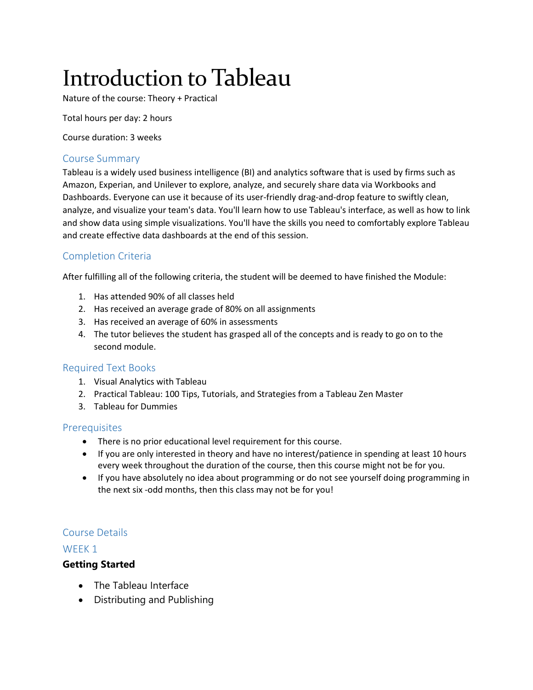# Introduction to Tableau

Nature of the course: Theory + Practical

Total hours per day: 2 hours

Course duration: 3 weeks

#### Course Summary

Tableau is a widely used business intelligence (BI) and analytics software that is used by firms such as Amazon, Experian, and Unilever to explore, analyze, and securely share data via Workbooks and Dashboards. Everyone can use it because of its user-friendly drag-and-drop feature to swiftly clean, analyze, and visualize your team's data. You'll learn how to use Tableau's interface, as well as how to link and show data using simple visualizations. You'll have the skills you need to comfortably explore Tableau and create effective data dashboards at the end of this session.

# Completion Criteria

After fulfilling all of the following criteria, the student will be deemed to have finished the Module:

- 1. Has attended 90% of all classes held
- 2. Has received an average grade of 80% on all assignments
- 3. Has received an average of 60% in assessments
- 4. The tutor believes the student has grasped all of the concepts and is ready to go on to the second module.

#### Required Text Books

- 1. Visual Analytics with Tableau
- 2. Practical Tableau: 100 Tips, Tutorials, and Strategies from a Tableau Zen Master
- 3. Tableau for Dummies

#### **Prerequisites**

- There is no prior educational level requirement for this course.
- If you are only interested in theory and have no interest/patience in spending at least 10 hours every week throughout the duration of the course, then this course might not be for you.
- If you have absolutely no idea about programming or do not see yourself doing programming in the next six -odd months, then this class may not be for you!

#### Course Details

#### WFFK<sub>1</sub>

## **Getting Started**

- The Tableau Interface
- Distributing and Publishing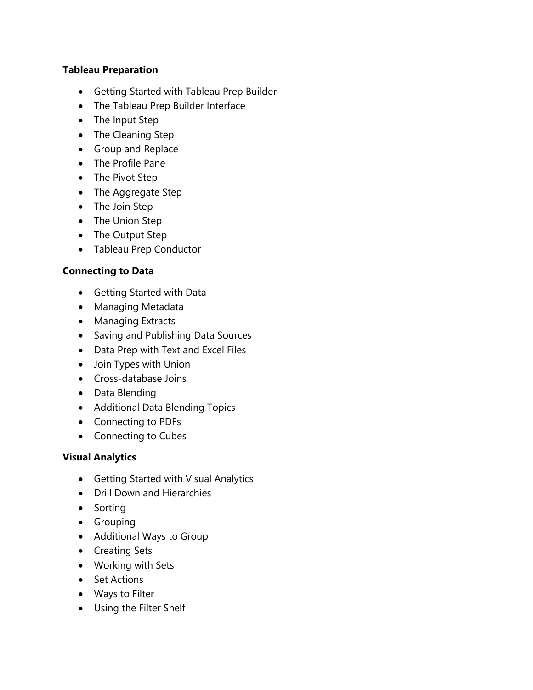# **Tableau Preparation**

- Getting Started with Tableau Prep Builder
- The Tableau Prep Builder Interface
- The Input Step
- The Cleaning Step
- Group and Replace
- The Profile Pane
- The Pivot Step
- The Aggregate Step
- The Join Step
- The Union Step
- The Output Step
- Tableau Prep Conductor

## **Connecting to Data**

- Getting Started with Data
- Managing Metadata
- Managing Extracts
- Saving and Publishing Data Sources
- Data Prep with Text and Excel Files
- Join Types with Union
- Cross-database Joins
- Data Blending
- Additional Data Blending Topics
- Connecting to PDFs
- Connecting to Cubes

## **Visual Analytics**

- Getting Started with Visual Analytics
- Drill Down and Hierarchies
- Sorting
- Grouping
- Additional Ways to Group
- Creating Sets
- Working with Sets
- Set Actions
- Ways to Filter
- Using the Filter Shelf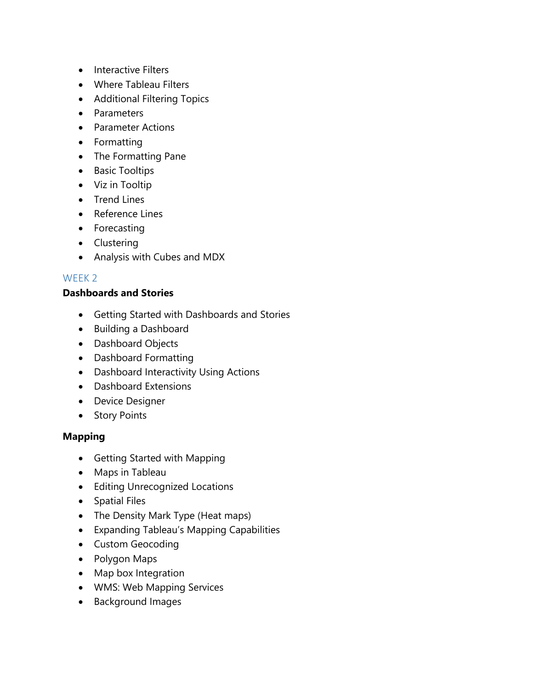- Interactive Filters
- Where Tableau Filters
- Additional Filtering Topics
- Parameters
- Parameter Actions
- Formatting
- The Formatting Pane
- Basic Tooltips
- Viz in Tooltip
- Trend Lines
- Reference Lines
- Forecasting
- Clustering
- Analysis with Cubes and MDX

# WEEK 2

## **Dashboards and Stories**

- Getting Started with Dashboards and Stories
- Building a Dashboard
- Dashboard Objects
- Dashboard Formatting
- Dashboard Interactivity Using Actions
- Dashboard Extensions
- Device Designer
- Story Points

## **Mapping**

- Getting Started with Mapping
- Maps in Tableau
- Editing Unrecognized Locations
- Spatial Files
- The Density Mark Type (Heat maps)
- Expanding Tableau's Mapping Capabilities
- Custom Geocoding
- Polygon Maps
- Map box Integration
- WMS: Web Mapping Services
- Background Images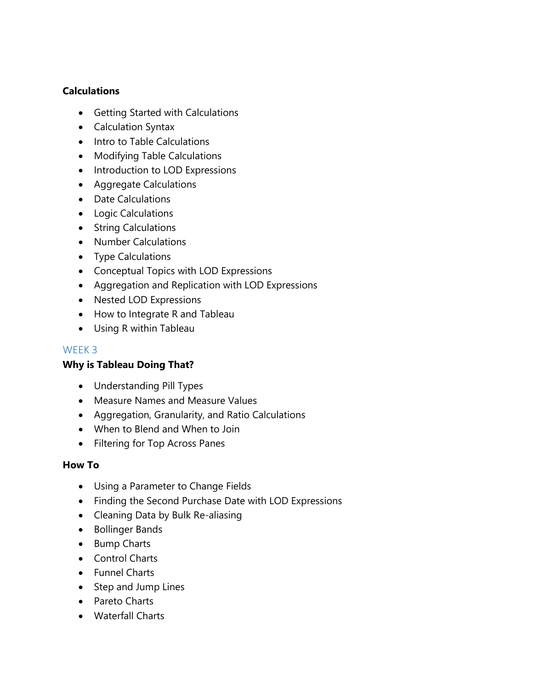# **Calculations**

- Getting Started with Calculations
- Calculation Syntax
- Intro to Table Calculations
- Modifying Table Calculations
- Introduction to LOD Expressions
- Aggregate Calculations
- Date Calculations
- Logic Calculations
- String Calculations
- Number Calculations
- Type Calculations
- Conceptual Topics with LOD Expressions
- Aggregation and Replication with LOD Expressions
- Nested LOD Expressions
- How to Integrate R and Tableau
- Using R within Tableau

# WEEK 3

# **Why is Tableau Doing That?**

- Understanding Pill Types
- Measure Names and Measure Values
- Aggregation, Granularity, and Ratio Calculations
- When to Blend and When to Join
- Filtering for Top Across Panes

## **How To**

- Using a Parameter to Change Fields
- Finding the Second Purchase Date with LOD Expressions
- Cleaning Data by Bulk Re-aliasing
- Bollinger Bands
- Bump Charts
- Control Charts
- Funnel Charts
- Step and Jump Lines
- Pareto Charts
- Waterfall Charts